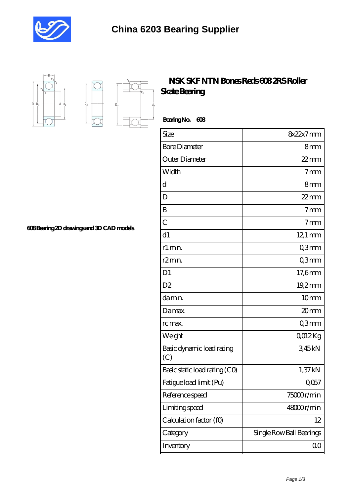



 $D_a$ 

Ď.

## **[NSK SKF NTN Bones Reds 608 2RS Roller](https://musicorganics.com/606-full-ceramic-bearing/nsk-skf-ntn-bones-reds-608-2rs-roller-skate-bearing.html) [Skate Bearing](https://musicorganics.com/606-full-ceramic-bearing/nsk-skf-ntn-bones-reds-608-2rs-roller-skate-bearing.html)**

 **Bearing No. 608**

| Size                             | 8x22x7mm                 |
|----------------------------------|--------------------------|
| <b>Bore Diameter</b>             | 8mm                      |
| Outer Diameter                   | $22$ mm                  |
| Width                            | 7 <sub>mm</sub>          |
| $\mathbf d$                      | 8mm                      |
| D                                | $22$ mm                  |
| B                                | 7 <sub>mm</sub>          |
| $\overline{C}$                   | 7 <sub>mm</sub>          |
| d1                               | $12.1 \text{ mm}$        |
| r1 min.                          | Q3mm                     |
| r <sub>2</sub> min.              | Q3mm                     |
| D <sub>1</sub>                   | $17,6$ mm                |
| D <sub>2</sub>                   | 19,2mm                   |
| da min.                          | 10 <sub>mm</sub>         |
| Damax.                           | 20mm                     |
| rc max.                          | Q3mm                     |
| Weight                           | Q012Kg                   |
| Basic dynamic load rating<br>(C) | 345kN                    |
| Basic static load rating (CO)    | 1,37kN                   |
| Fatigue load limit (Pu)          | Q057                     |
| Reference speed                  | 75000r/min               |
| Limiting speed                   | 48000r/min               |
| Calculation factor (f0)          | 12                       |
| Category                         | Single Row Ball Bearings |
| Inventory                        | 00                       |

**[608 Bearing 2D drawings and 3D CAD models](https://musicorganics.com/pic-823545.html)**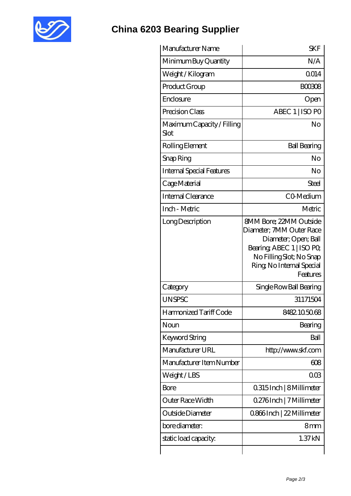

## **[China 6203 Bearing Supplier](https://musicorganics.com)**

| Manufacturer Name                  | <b>SKF</b>                                                                                                                                                                          |
|------------------------------------|-------------------------------------------------------------------------------------------------------------------------------------------------------------------------------------|
| Minimum Buy Quantity               | N/A                                                                                                                                                                                 |
| Weight / Kilogram                  | Q014                                                                                                                                                                                |
| Product Group                      | <b>BOO3O8</b>                                                                                                                                                                       |
| Enclosure                          | Open                                                                                                                                                                                |
| Precision Class                    | ABEC 1   ISO PO                                                                                                                                                                     |
| Maximum Capacity / Filling<br>Slot | No                                                                                                                                                                                  |
| Rolling Element                    | <b>Ball Bearing</b>                                                                                                                                                                 |
| Snap Ring                          | No                                                                                                                                                                                  |
| <b>Internal Special Features</b>   | No                                                                                                                                                                                  |
| Cage Material                      | Steel                                                                                                                                                                               |
| Internal Clearance                 | CO-Medium                                                                                                                                                                           |
| Inch - Metric                      | Metric                                                                                                                                                                              |
| Long Description                   | <b>8MM Bore: 22MM Outside</b><br>Diameter; 7MM Outer Race<br>Diameter; Open; Ball<br>Bearing, ABEC 1   ISO PO,<br>No Filling Slot; No Snap<br>Ring, No Internal Special<br>Features |
| Category                           | Single Row Ball Bearing                                                                                                                                                             |
| <b>UNSPSC</b>                      | 31171504                                                                                                                                                                            |
| Harmonized Tariff Code             | 8482105068                                                                                                                                                                          |
| Noun                               | Bearing                                                                                                                                                                             |
| Keyword String                     | Ball                                                                                                                                                                                |
| Manufacturer URL                   | http://www.skf.com                                                                                                                                                                  |
| Manufacturer Item Number           | 608                                                                                                                                                                                 |
| Weight/LBS                         | 003                                                                                                                                                                                 |
| Bore                               | 0.315 Inch   8 Millimeter                                                                                                                                                           |
|                                    |                                                                                                                                                                                     |
| Outer Race Width                   | 0.276Inch   7 Millimeter                                                                                                                                                            |
| Outside Diameter                   | 0.866Inch   22 Millimeter                                                                                                                                                           |
| bore diameter:                     | 8mm                                                                                                                                                                                 |